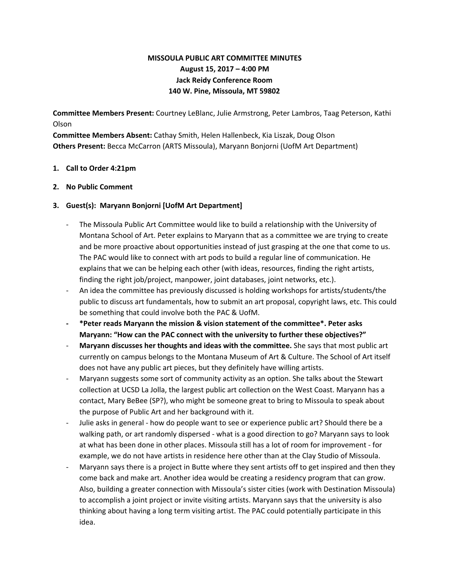# **MISSOULA PUBLIC ART COMMITTEE MINUTES August 15, 2017 – 4:00 PM Jack Reidy Conference Room 140 W. Pine, Missoula, MT 59802**

**Committee Members Present:** Courtney LeBlanc, Julie Armstrong, Peter Lambros, Taag Peterson, Kathi Olson

**Committee Members Absent:** Cathay Smith, Helen Hallenbeck, Kia Liszak, Doug Olson **Others Present:** Becca McCarron (ARTS Missoula), Maryann Bonjorni (UofM Art Department)

### **1. Call to Order 4:21pm**

### **2. No Public Comment**

### **3. Guest(s): Maryann Bonjorni [UofM Art Department]**

- The Missoula Public Art Committee would like to build a relationship with the University of Montana School of Art. Peter explains to Maryann that as a committee we are trying to create and be more proactive about opportunities instead of just grasping at the one that come to us. The PAC would like to connect with art pods to build a regular line of communication. He explains that we can be helping each other (with ideas, resources, finding the right artists, finding the right job/project, manpower, joint databases, joint networks, etc.).
- An idea the committee has previously discussed is holding workshops for artists/students/the public to discuss art fundamentals, how to submit an art proposal, copyright laws, etc. This could be something that could involve both the PAC & UofM.
- **- \*Peter reads Maryann the mission & vision statement of the committee\*. Peter asks Maryann: "How can the PAC connect with the university to further these objectives?"**
- **Maryann discusses her thoughts and ideas with the committee.** She says that most public art currently on campus belongs to the Montana Museum of Art & Culture. The School of Art itself does not have any public art pieces, but they definitely have willing artists.
- Maryann suggests some sort of community activity as an option. She talks about the Stewart collection at UCSD La Jolla, the largest public art collection on the West Coast. Maryann has a contact, Mary BeBee (SP?), who might be someone great to bring to Missoula to speak about the purpose of Public Art and her background with it.
- Julie asks in general how do people want to see or experience public art? Should there be a walking path, or art randomly dispersed - what is a good direction to go? Maryann says to look at what has been done in other places. Missoula still has a lot of room for improvement - for example, we do not have artists in residence here other than at the Clay Studio of Missoula.
- Maryann says there is a project in Butte where they sent artists off to get inspired and then they come back and make art. Another idea would be creating a residency program that can grow. Also, building a greater connection with Missoula's sister cities (work with Destination Missoula) to accomplish a joint project or invite visiting artists. Maryann says that the university is also thinking about having a long term visiting artist. The PAC could potentially participate in this idea.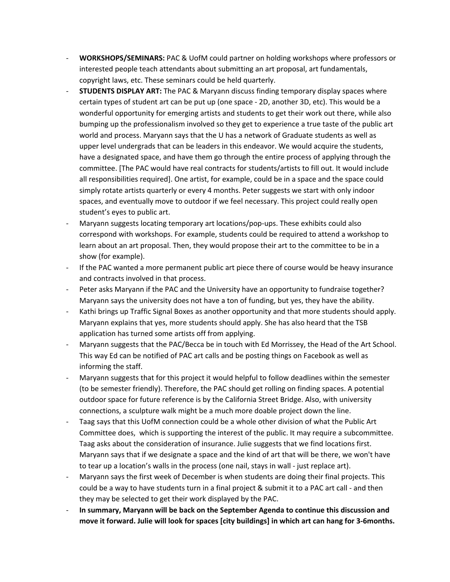- **WORKSHOPS/SEMINARS:** PAC & UofM could partner on holding workshops where professors or interested people teach attendants about submitting an art proposal, art fundamentals, copyright laws, etc. These seminars could be held quarterly.
- **STUDENTS DISPLAY ART:** The PAC & Maryann discuss finding temporary display spaces where certain types of student art can be put up (one space - 2D, another 3D, etc). This would be a wonderful opportunity for emerging artists and students to get their work out there, while also bumping up the professionalism involved so they get to experience a true taste of the public art world and process. Maryann says that the U has a network of Graduate students as well as upper level undergrads that can be leaders in this endeavor. We would acquire the students, have a designated space, and have them go through the entire process of applying through the committee. [The PAC would have real contracts for students/artists to fill out. It would include all responsibilities required]. One artist, for example, could be in a space and the space could simply rotate artists quarterly or every 4 months. Peter suggests we start with only indoor spaces, and eventually move to outdoor if we feel necessary. This project could really open student's eyes to public art.
- Maryann suggests locating temporary art locations/pop-ups. These exhibits could also correspond with workshops. For example, students could be required to attend a workshop to learn about an art proposal. Then, they would propose their art to the committee to be in a show (for example).
- If the PAC wanted a more permanent public art piece there of course would be heavy insurance and contracts involved in that process.
- Peter asks Maryann if the PAC and the University have an opportunity to fundraise together? Maryann says the university does not have a ton of funding, but yes, they have the ability.
- Kathi brings up Traffic Signal Boxes as another opportunity and that more students should apply. Maryann explains that yes, more students should apply. She has also heard that the TSB application has turned some artists off from applying.
- Maryann suggests that the PAC/Becca be in touch with Ed Morrissey, the Head of the Art School. This way Ed can be notified of PAC art calls and be posting things on Facebook as well as informing the staff.
- Maryann suggests that for this project it would helpful to follow deadlines within the semester (to be semester friendly). Therefore, the PAC should get rolling on finding spaces. A potential outdoor space for future reference is by the California Street Bridge. Also, with university connections, a sculpture walk might be a much more doable project down the line.
- Taag says that this UofM connection could be a whole other division of what the Public Art Committee does, which is supporting the interest of the public. It may require a subcommittee. Taag asks about the consideration of insurance. Julie suggests that we find locations first. Maryann says that if we designate a space and the kind of art that will be there, we won't have to tear up a location's walls in the process (one nail, stays in wall - just replace art).
- Maryann says the first week of December is when students are doing their final projects. This could be a way to have students turn in a final project & submit it to a PAC art call - and then they may be selected to get their work displayed by the PAC.
- **In summary, Maryann will be back on the September Agenda to continue this discussion and move it forward. Julie will look for spaces [city buildings] in which art can hang for 3-6months.**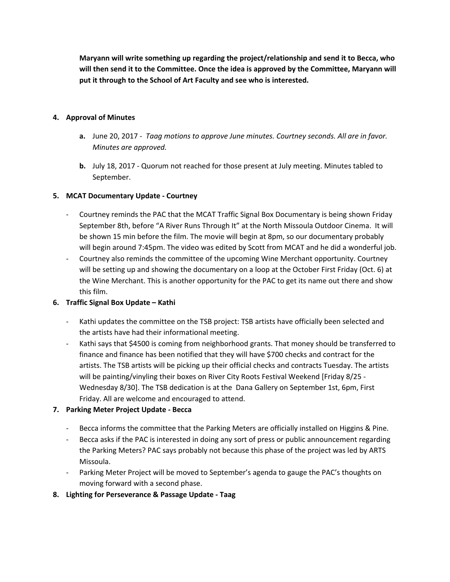**Maryann will write something up regarding the project/relationship and send it to Becca, who will then send it to the Committee. Once the idea is approved by the Committee, Maryann will put it through to the School of Art Faculty and see who is interested.**

## **4. Approval of Minutes**

- **a.** June 20, 2017 *Taag motions to approve June minutes. Courtney seconds. All are in favor. Minutes are approved.*
- **b.** July 18, 2017 Quorum not reached for those present at July meeting. Minutes tabled to September.

### **5. MCAT Documentary Update - Courtney**

- Courtney reminds the PAC that the MCAT Traffic Signal Box Documentary is being shown Friday September 8th, before "A River Runs Through It" at the North Missoula Outdoor Cinema. It will be shown 15 min before the film. The movie will begin at 8pm, so our documentary probably will begin around 7:45pm. The video was edited by Scott from MCAT and he did a wonderful job.
- Courtney also reminds the committee of the upcoming Wine Merchant opportunity. Courtney will be setting up and showing the documentary on a loop at the October First Friday (Oct. 6) at the Wine Merchant. This is another opportunity for the PAC to get its name out there and show this film.

## **6. Traffic Signal Box Update – Kathi**

- Kathi updates the committee on the TSB project: TSB artists have officially been selected and the artists have had their informational meeting.
- Kathi says that \$4500 is coming from neighborhood grants. That money should be transferred to finance and finance has been notified that they will have \$700 checks and contract for the artists. The TSB artists will be picking up their official checks and contracts Tuesday. The artists will be painting/vinyling their boxes on River City Roots Festival Weekend [Friday 8/25 - Wednesday 8/30]. The TSB dedication is at the Dana Gallery on September 1st, 6pm, First Friday. All are welcome and encouraged to attend.

## **7. Parking Meter Project Update - Becca**

- Becca informs the committee that the Parking Meters are officially installed on Higgins & Pine.
- Becca asks if the PAC is interested in doing any sort of press or public announcement regarding the Parking Meters? PAC says probably not because this phase of the project was led by ARTS Missoula.
- Parking Meter Project will be moved to September's agenda to gauge the PAC's thoughts on moving forward with a second phase.

### **8. Lighting for Perseverance & Passage Update - Taag**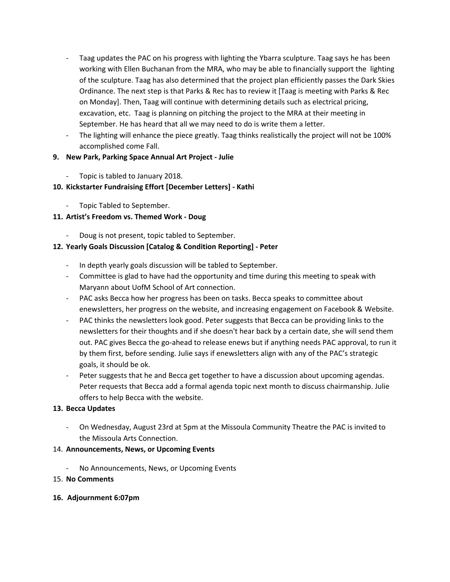- Taag updates the PAC on his progress with lighting the Ybarra sculpture. Taag says he has been working with Ellen Buchanan from the MRA, who may be able to financially support the lighting of the sculpture. Taag has also determined that the project plan efficiently passes the Dark Skies Ordinance. The next step is that Parks & Rec has to review it [Taag is meeting with Parks & Rec on Monday]. Then, Taag will continue with determining details such as electrical pricing, excavation, etc. Taag is planning on pitching the project to the MRA at their meeting in September. He has heard that all we may need to do is write them a letter.
- The lighting will enhance the piece greatly. Taag thinks realistically the project will not be 100% accomplished come Fall.

## **9. New Park, Parking Space Annual Art Project - Julie**

Topic is tabled to January 2018.

## **10. Kickstarter Fundraising Effort [December Letters] - Kathi**

Topic Tabled to September.

## **11. Artist's Freedom vs. Themed Work - Doug**

Doug is not present, topic tabled to September.

## **12. Yearly Goals Discussion [Catalog & Condition Reporting] - Peter**

- In depth yearly goals discussion will be tabled to September.
- Committee is glad to have had the opportunity and time during this meeting to speak with Maryann about UofM School of Art connection.
- PAC asks Becca how her progress has been on tasks. Becca speaks to committee about enewsletters, her progress on the website, and increasing engagement on Facebook & Website.
- PAC thinks the newsletters look good. Peter suggests that Becca can be providing links to the newsletters for their thoughts and if she doesn't hear back by a certain date, she will send them out. PAC gives Becca the go-ahead to release enews but if anything needs PAC approval, to run it by them first, before sending. Julie says if enewsletters align with any of the PAC's strategic goals, it should be ok.
- Peter suggests that he and Becca get together to have a discussion about upcoming agendas. Peter requests that Becca add a formal agenda topic next month to discuss chairmanship. Julie offers to help Becca with the website.

### **13. Becca Updates**

- On Wednesday, August 23rd at 5pm at the Missoula Community Theatre the PAC is invited to the Missoula Arts Connection.

### 14. **Announcements, News, or Upcoming Events**

No Announcements, News, or Upcoming Events

### 15. **No Comments**

### **16. Adjournment 6:07pm**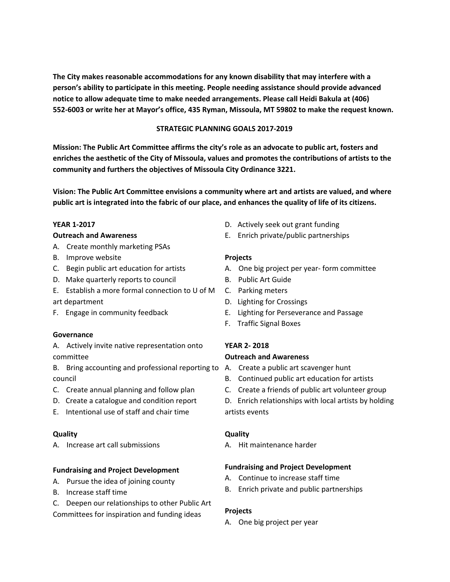**The City makes reasonable accommodations for any known disability that may interfere with a person's ability to participate in this meeting. People needing assistance should provide advanced notice to allow adequate time to make needed arrangements. Please call Heidi Bakula at (406) 552-6003 or write her at Mayor's office, 435 Ryman, Missoula, MT 59802 to make the request known.**

### **STRATEGIC PLANNING GOALS 2017-2019**

**Mission: The Public Art Committee affirms the city's role as an advocate to public art, fosters and enriches the aesthetic of the City of Missoula, values and promotes the contributions of artists to the community and furthers the objectives of Missoula City Ordinance 3221.**

**Vision: The Public Art Committee envisions a community where art and artists are valued, and where** public art is integrated into the fabric of our place, and enhances the quality of life of its citizens.

### **YEAR 1-2017**

#### **Outreach and Awareness**

- A. Create monthly marketing PSAs
- B. Improve website
- C. Begin public art education for artists
- D. Make quarterly reports to council
- E. Establish a more formal connection to U of M
- art department
- F. Engage in community feedback

### **Governance**

A. Actively invite native representation onto committee

- B. Bring accounting and professional reporting to A. Create a public art scavenger hunt council
- C. Create annual planning and follow plan
- D. Create a catalogue and condition report
- E. Intentional use of staff and chair time

### **Quality**

A. Increase art call submissions

### **Fundraising and Project Development**

- A. Pursue the idea of joining county
- B. Increase staff time
- C. Deepen our relationships to other Public Art

Committees for inspiration and funding ideas

- D. Actively seek out grant funding
- E. Enrich private/public partnerships

### **Projects**

- A. One big project per year- form committee
- B. Public Art Guide
- C. Parking meters
- D. Lighting for Crossings
- E. Lighting for Perseverance and Passage
- F. Traffic Signal Boxes

### **YEAR 2- 2018**

### **Outreach and Awareness**

- 
- B. Continued public art education for artists
- C. Create a friends of public art volunteer group
- D. Enrich relationships with local artists by holding artists events

### **Quality**

A. Hit maintenance harder

### **Fundraising and Project Development**

- A. Continue to increase staff time
- B. Enrich private and public partnerships

### **Projects**

A. One big project per year